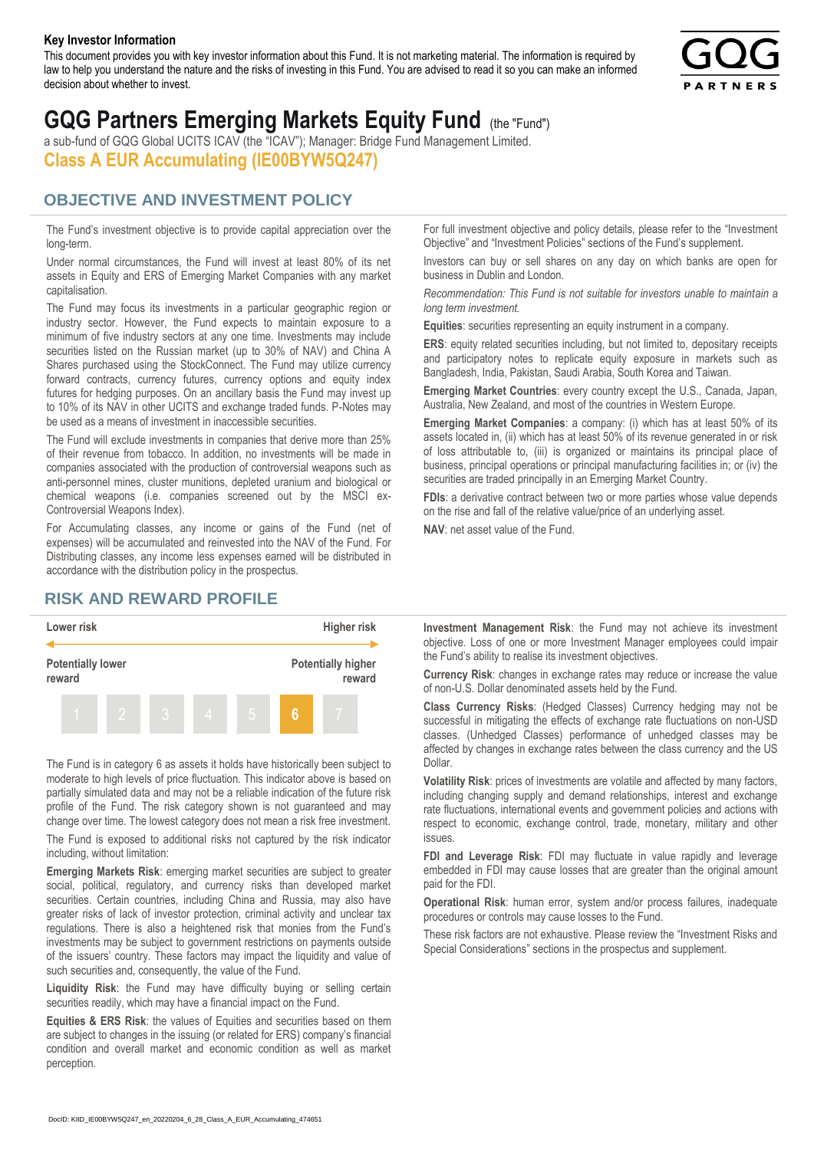#### **Key Investor Information**

This document provides you with key investor information about this Fund. It is not marketing material. The information is required by law to help you understand the nature and the risks of investing in this Fund. You are advised to read it so you can make an informed decision about whether to invest.



# **GQG Partners Emerging Markets Equity Fund** (the "Fund")

a sub-fund of GQG Global UCITS ICAV (the "ICAV"); Manager: Bridge Fund Management Limited. **Class A EUR Accumulating (IE00BYW5Q247)**

### **OBJECTIVE AND INVESTMENT POLICY**

The Fund's investment objective is to provide capital appreciation over the long-term.

Under normal circumstances, the Fund will invest at least 80% of its net assets in Equity and ERS of Emerging Market Companies with any market capitalisation.

The Fund may focus its investments in a particular geographic region or industry sector. However, the Fund expects to maintain exposure to a minimum of five industry sectors at any one time. Investments may include securities listed on the Russian market (up to 30% of NAV) and China A Shares purchased using the StockConnect. The Fund may utilize currency forward contracts, currency futures, currency options and equity index futures for hedging purposes. On an ancillary basis the Fund may invest up to 10% of its NAV in other UCITS and exchange traded funds. P-Notes may be used as a means of investment in inaccessible securities.

The Fund will exclude investments in companies that derive more than 25% of their revenue from tobacco. In addition, no investments will be made in companies associated with the production of controversial weapons such as anti-personnel mines, cluster munitions, depleted uranium and biological or chemical weapons (i.e. companies screened out by the MSCI ex-Controversial Weapons Index).

For Accumulating classes, any income or gains of the Fund (net of expenses) will be accumulated and reinvested into the NAV of the Fund. For Distributing classes, any income less expenses earned will be distributed in accordance with the distribution policy in the prospectus.

## **RISK AND REWARD PROFILE**



The Fund is in category 6 as assets it holds have historically been subject to moderate to high levels of price fluctuation. This indicator above is based on partially simulated data and may not be a reliable indication of the future risk profile of the Fund. The risk category shown is not guaranteed and may change over time. The lowest category does not mean a risk free investment.

The Fund is exposed to additional risks not captured by the risk indicator including, without limitation:

**Emerging Markets Risk**: emerging market securities are subject to greater social, political, regulatory, and currency risks than developed market securities. Certain countries, including China and Russia, may also have greater risks of lack of investor protection, criminal activity and unclear tax regulations. There is also a heightened risk that monies from the Fund's investments may be subject to government restrictions on payments outside of the issuers' country. These factors may impact the liquidity and value of such securities and, consequently, the value of the Fund.

**Liquidity Risk**: the Fund may have difficulty buying or selling certain securities readily, which may have a financial impact on the Fund.

**Equities & ERS Risk**: the values of Equities and securities based on them are subject to changes in the issuing (or related for ERS) company's financial condition and overall market and economic condition as well as market perception.

For full investment objective and policy details, please refer to the "Investment Objective" and "Investment Policies" sections of the Fund's supplement.

Investors can buy or sell shares on any day on which banks are open for business in Dublin and London.

*Recommendation: This Fund is not suitable for investors unable to maintain a long term investment.*

**Equities**: securities representing an equity instrument in a company.

**ERS:** equity related securities including, but not limited to, depositary receipts and participatory notes to replicate equity exposure in markets such as Bangladesh, India, Pakistan, Saudi Arabia, South Korea and Taiwan.

**Emerging Market Countries**: every country except the U.S., Canada, Japan, Australia, New Zealand, and most of the countries in Western Europe.

**Emerging Market Companies**: a company: (i) which has at least 50% of its assets located in, (ii) which has at least 50% of its revenue generated in or risk of loss attributable to, (iii) is organized or maintains its principal place of business, principal operations or principal manufacturing facilities in; or (iv) the securities are traded principally in an Emerging Market Country.

**FDIs**: a derivative contract between two or more parties whose value depends on the rise and fall of the relative value/price of an underlying asset.

**NAV**: net asset value of the Fund.

**Investment Management Risk**: the Fund may not achieve its investment objective. Loss of one or more Investment Manager employees could impair the Fund's ability to realise its investment objectives.

**Currency Risk**: changes in exchange rates may reduce or increase the value of non-U.S. Dollar denominated assets held by the Fund.

**Class Currency Risks**: (Hedged Classes) Currency hedging may not be successful in mitigating the effects of exchange rate fluctuations on non-USD classes. (Unhedged Classes) performance of unhedged classes may be affected by changes in exchange rates between the class currency and the US Dollar.

**Volatility Risk**: prices of investments are volatile and affected by many factors, including changing supply and demand relationships, interest and exchange rate fluctuations, international events and government policies and actions with respect to economic, exchange control, trade, monetary, military and other issues.

**FDI and Leverage Risk**: FDI may fluctuate in value rapidly and leverage embedded in FDI may cause losses that are greater than the original amount paid for the FDI.

**Operational Risk**: human error, system and/or process failures, inadequate procedures or controls may cause losses to the Fund.

These risk factors are not exhaustive. Please review the "Investment Risks and Special Considerations" sections in the prospectus and supplement.